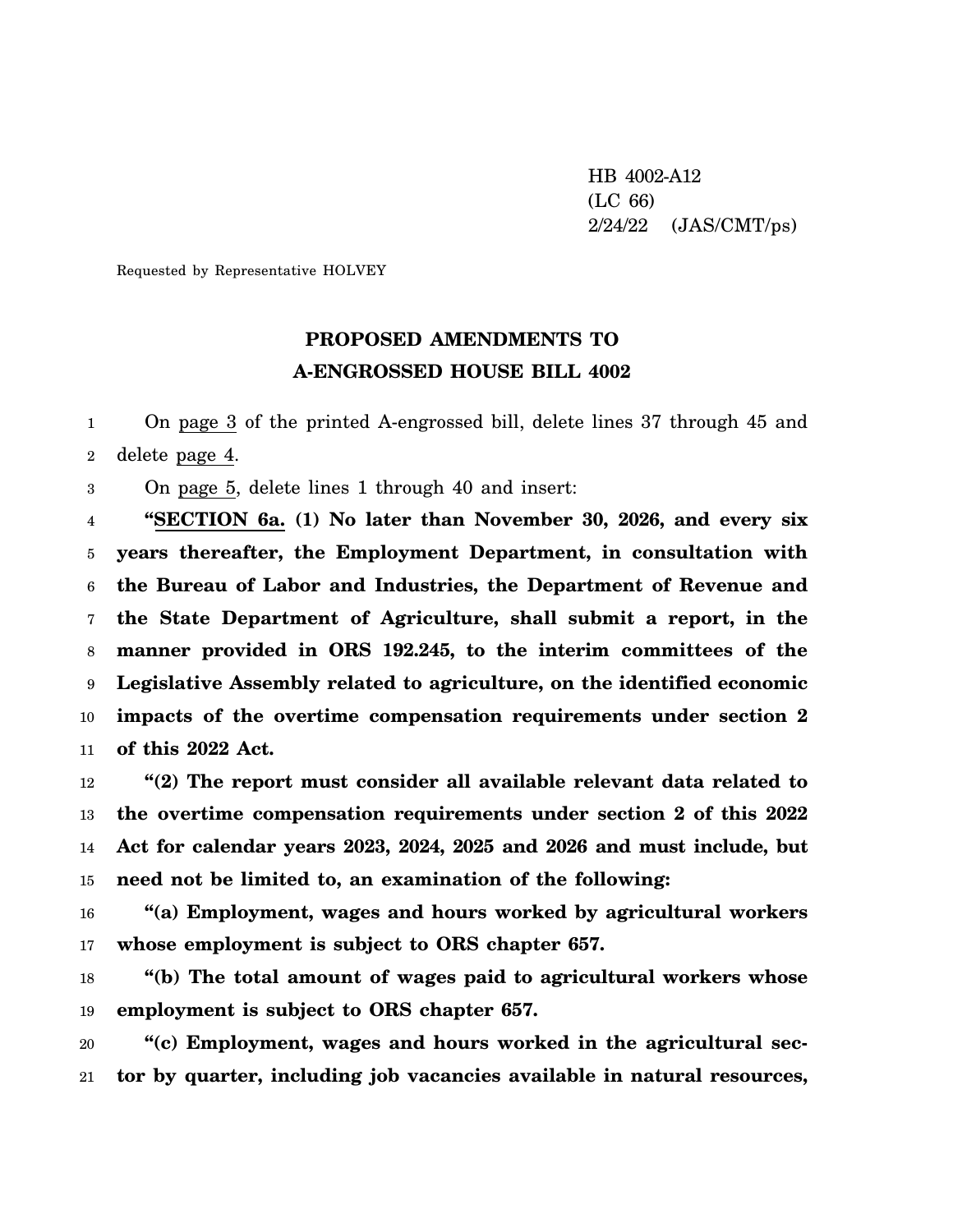HB 4002-A12 (LC 66) 2/24/22 (JAS/CMT/ps)

Requested by Representative HOLVEY

## **PROPOSED AMENDMENTS TO A-ENGROSSED HOUSE BILL 4002**

1 2 On page 3 of the printed A-engrossed bill, delete lines 37 through 45 and delete page 4.

3 On page 5, delete lines 1 through 40 and insert:

4 5 6 7 8 9 10 11 **"SECTION 6a. (1) No later than November 30, 2026, and every six years thereafter, the Employment Department, in consultation with the Bureau of Labor and Industries, the Department of Revenue and the State Department of Agriculture, shall submit a report, in the manner provided in ORS 192.245, to the interim committees of the Legislative Assembly related to agriculture, on the identified economic impacts of the overtime compensation requirements under section 2 of this 2022 Act.**

12 13 14 15 **"(2) The report must consider all available relevant data related to the overtime compensation requirements under section 2 of this 2022 Act for calendar years 2023, 2024, 2025 and 2026 and must include, but need not be limited to, an examination of the following:**

16 17 **"(a) Employment, wages and hours worked by agricultural workers whose employment is subject to ORS chapter 657.**

18 19 **"(b) The total amount of wages paid to agricultural workers whose employment is subject to ORS chapter 657.**

20 21 **"(c) Employment, wages and hours worked in the agricultural sector by quarter, including job vacancies available in natural resources,**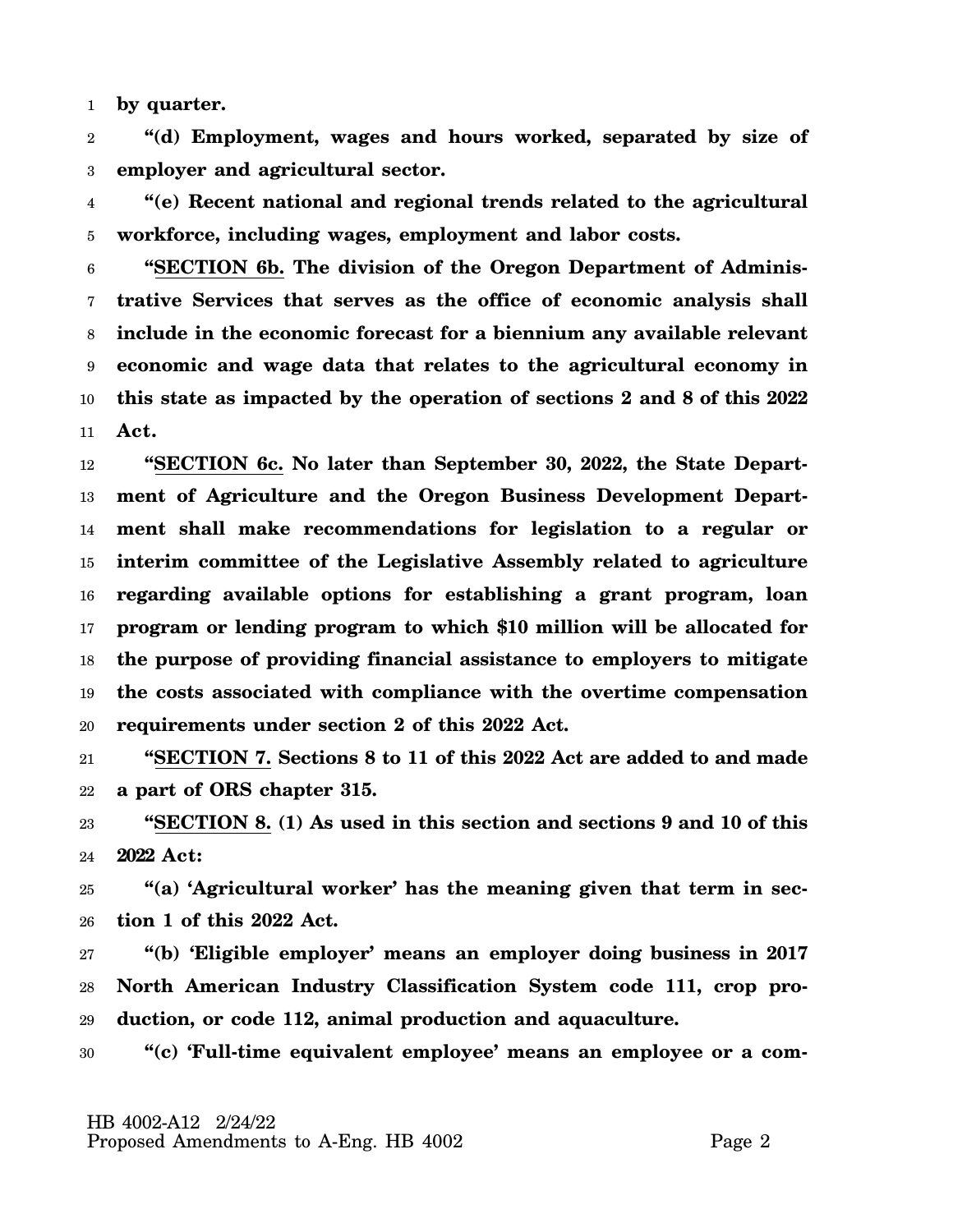1 **by quarter.**

2 3 **"(d) Employment, wages and hours worked, separated by size of employer and agricultural sector.**

4 5 **"(e) Recent national and regional trends related to the agricultural workforce, including wages, employment and labor costs.**

6 7 8 9 10 11 **"SECTION 6b. The division of the Oregon Department of Administrative Services that serves as the office of economic analysis shall include in the economic forecast for a biennium any available relevant economic and wage data that relates to the agricultural economy in this state as impacted by the operation of sections 2 and 8 of this 2022 Act.**

12 13 14 15 16 17 18 19 20 **"SECTION 6c. No later than September 30, 2022, the State Department of Agriculture and the Oregon Business Development Department shall make recommendations for legislation to a regular or interim committee of the Legislative Assembly related to agriculture regarding available options for establishing a grant program, loan program or lending program to which \$10 million will be allocated for the purpose of providing financial assistance to employers to mitigate the costs associated with compliance with the overtime compensation requirements under section 2 of this 2022 Act.**

21 22 **"SECTION 7. Sections 8 to 11 of this 2022 Act are added to and made a part of ORS chapter 315.**

23 24 **"SECTION 8. (1) As used in this section and sections 9 and 10 of this 2022 Act:**

25 26 **"(a) 'Agricultural worker' has the meaning given that term in section 1 of this 2022 Act.**

27 28 29 **"(b) 'Eligible employer' means an employer doing business in 2017 North American Industry Classification System code 111, crop production, or code 112, animal production and aquaculture.**

30 **"(c) 'Full-time equivalent employee' means an employee or a com-**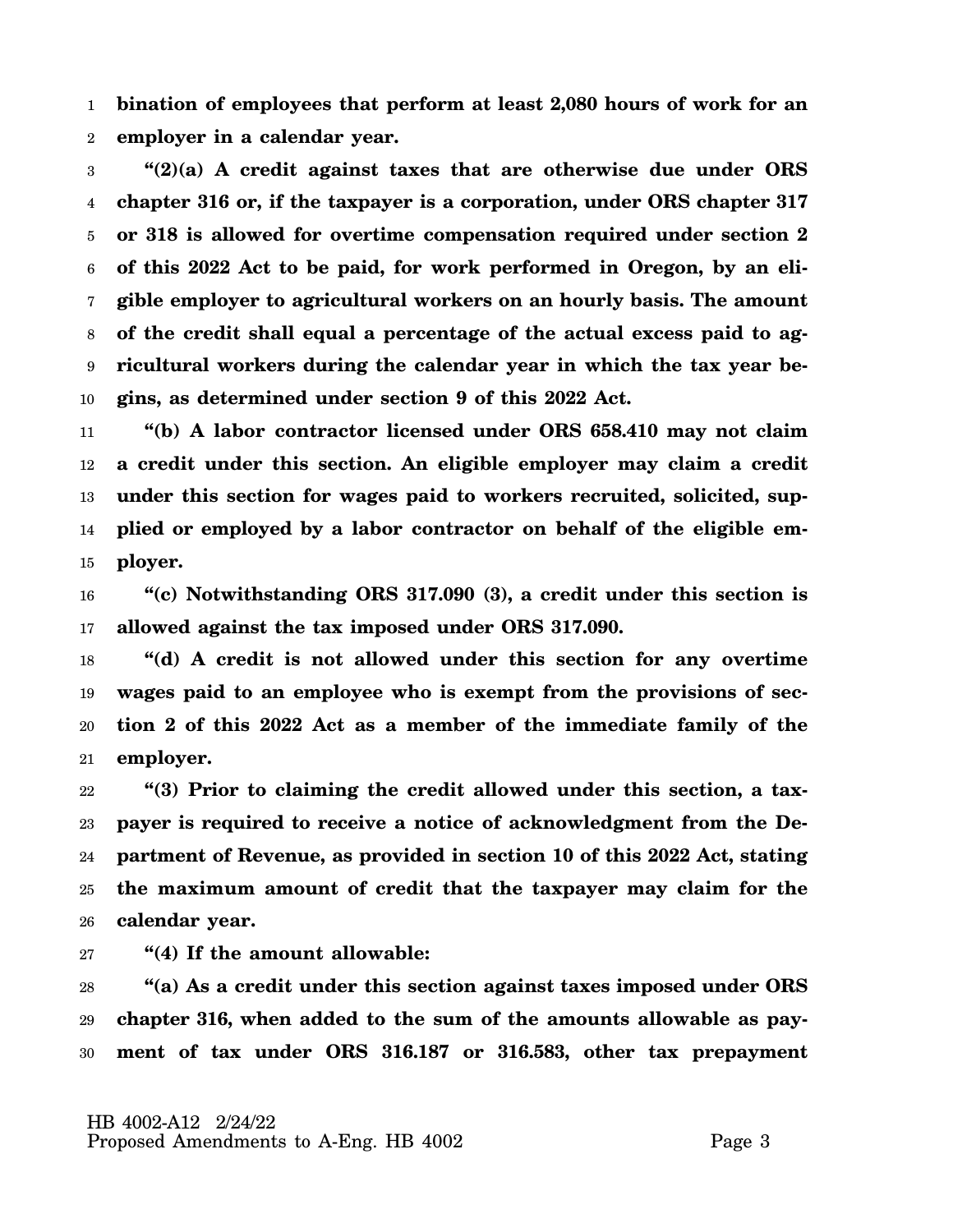1 2 **bination of employees that perform at least 2,080 hours of work for an employer in a calendar year.**

3 4 5 6 7 8 9 10 **"(2)(a) A credit against taxes that are otherwise due under ORS chapter 316 or, if the taxpayer is a corporation, under ORS chapter 317 or 318 is allowed for overtime compensation required under section 2 of this 2022 Act to be paid, for work performed in Oregon, by an eligible employer to agricultural workers on an hourly basis. The amount of the credit shall equal a percentage of the actual excess paid to agricultural workers during the calendar year in which the tax year begins, as determined under section 9 of this 2022 Act.**

11 12 13 14 15 **"(b) A labor contractor licensed under ORS 658.410 may not claim a credit under this section. An eligible employer may claim a credit under this section for wages paid to workers recruited, solicited, supplied or employed by a labor contractor on behalf of the eligible employer.**

16 17 **"(c) Notwithstanding ORS 317.090 (3), a credit under this section is allowed against the tax imposed under ORS 317.090.**

18 19 20 21 **"(d) A credit is not allowed under this section for any overtime wages paid to an employee who is exempt from the provisions of section 2 of this 2022 Act as a member of the immediate family of the employer.**

22 23 24 25 26 **"(3) Prior to claiming the credit allowed under this section, a taxpayer is required to receive a notice of acknowledgment from the Department of Revenue, as provided in section 10 of this 2022 Act, stating the maximum amount of credit that the taxpayer may claim for the calendar year.**

27 **"(4) If the amount allowable:**

28 29 30 **"(a) As a credit under this section against taxes imposed under ORS chapter 316, when added to the sum of the amounts allowable as payment of tax under ORS 316.187 or 316.583, other tax prepayment**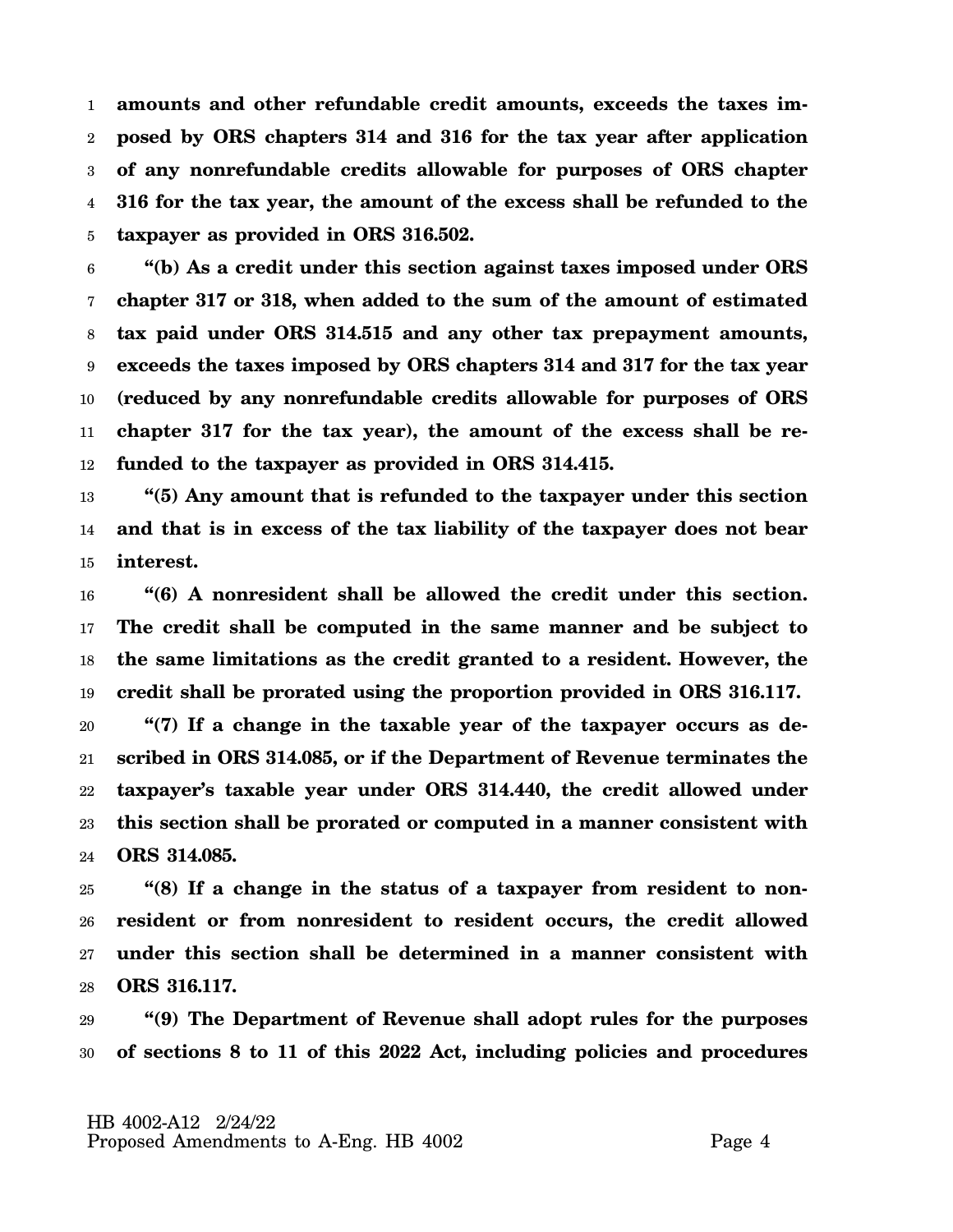1 2 3 4 5 **amounts and other refundable credit amounts, exceeds the taxes imposed by ORS chapters 314 and 316 for the tax year after application of any nonrefundable credits allowable for purposes of ORS chapter 316 for the tax year, the amount of the excess shall be refunded to the taxpayer as provided in ORS 316.502.**

6 7 8 9 10 11 12 **"(b) As a credit under this section against taxes imposed under ORS chapter 317 or 318, when added to the sum of the amount of estimated tax paid under ORS 314.515 and any other tax prepayment amounts, exceeds the taxes imposed by ORS chapters 314 and 317 for the tax year (reduced by any nonrefundable credits allowable for purposes of ORS chapter 317 for the tax year), the amount of the excess shall be refunded to the taxpayer as provided in ORS 314.415.**

13 14 15 **"(5) Any amount that is refunded to the taxpayer under this section and that is in excess of the tax liability of the taxpayer does not bear interest.**

16 17 18 19 **"(6) A nonresident shall be allowed the credit under this section. The credit shall be computed in the same manner and be subject to the same limitations as the credit granted to a resident. However, the credit shall be prorated using the proportion provided in ORS 316.117.**

20 21 22 23 24 **"(7) If a change in the taxable year of the taxpayer occurs as described in ORS 314.085, or if the Department of Revenue terminates the taxpayer's taxable year under ORS 314.440, the credit allowed under this section shall be prorated or computed in a manner consistent with ORS 314.085.**

25 26 27 28 **"(8) If a change in the status of a taxpayer from resident to nonresident or from nonresident to resident occurs, the credit allowed under this section shall be determined in a manner consistent with ORS 316.117.**

29 30 **"(9) The Department of Revenue shall adopt rules for the purposes of sections 8 to 11 of this 2022 Act, including policies and procedures**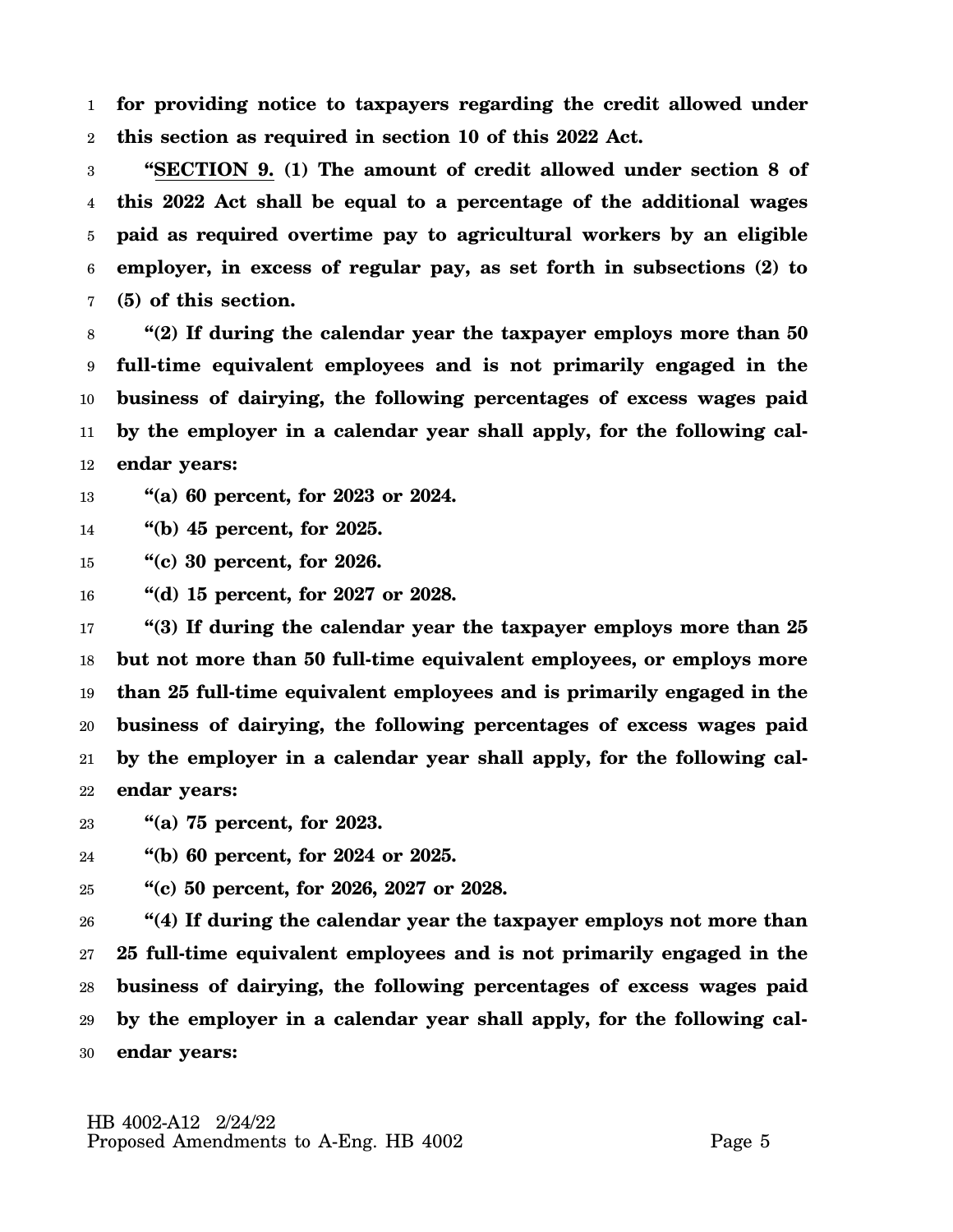1 2 **for providing notice to taxpayers regarding the credit allowed under this section as required in section 10 of this 2022 Act.**

3 4 5 6 7 **"SECTION 9. (1) The amount of credit allowed under section 8 of this 2022 Act shall be equal to a percentage of the additional wages paid as required overtime pay to agricultural workers by an eligible employer, in excess of regular pay, as set forth in subsections (2) to (5) of this section.**

8 9 10 11 12 **"(2) If during the calendar year the taxpayer employs more than 50 full-time equivalent employees and is not primarily engaged in the business of dairying, the following percentages of excess wages paid by the employer in a calendar year shall apply, for the following calendar years:**

13 **"(a) 60 percent, for 2023 or 2024.**

14 **"(b) 45 percent, for 2025.**

15 **"(c) 30 percent, for 2026.**

16 **"(d) 15 percent, for 2027 or 2028.**

17 18 19 20 21 22 **"(3) If during the calendar year the taxpayer employs more than 25 but not more than 50 full-time equivalent employees, or employs more than 25 full-time equivalent employees and is primarily engaged in the business of dairying, the following percentages of excess wages paid by the employer in a calendar year shall apply, for the following calendar years:**

23 **"(a) 75 percent, for 2023.**

24 **"(b) 60 percent, for 2024 or 2025.**

25 **"(c) 50 percent, for 2026, 2027 or 2028.**

26 27 28 29 30 **"(4) If during the calendar year the taxpayer employs not more than 25 full-time equivalent employees and is not primarily engaged in the business of dairying, the following percentages of excess wages paid by the employer in a calendar year shall apply, for the following calendar years:**

 HB 4002-A12 2/24/22 Proposed Amendments to A-Eng. HB 4002 Page 5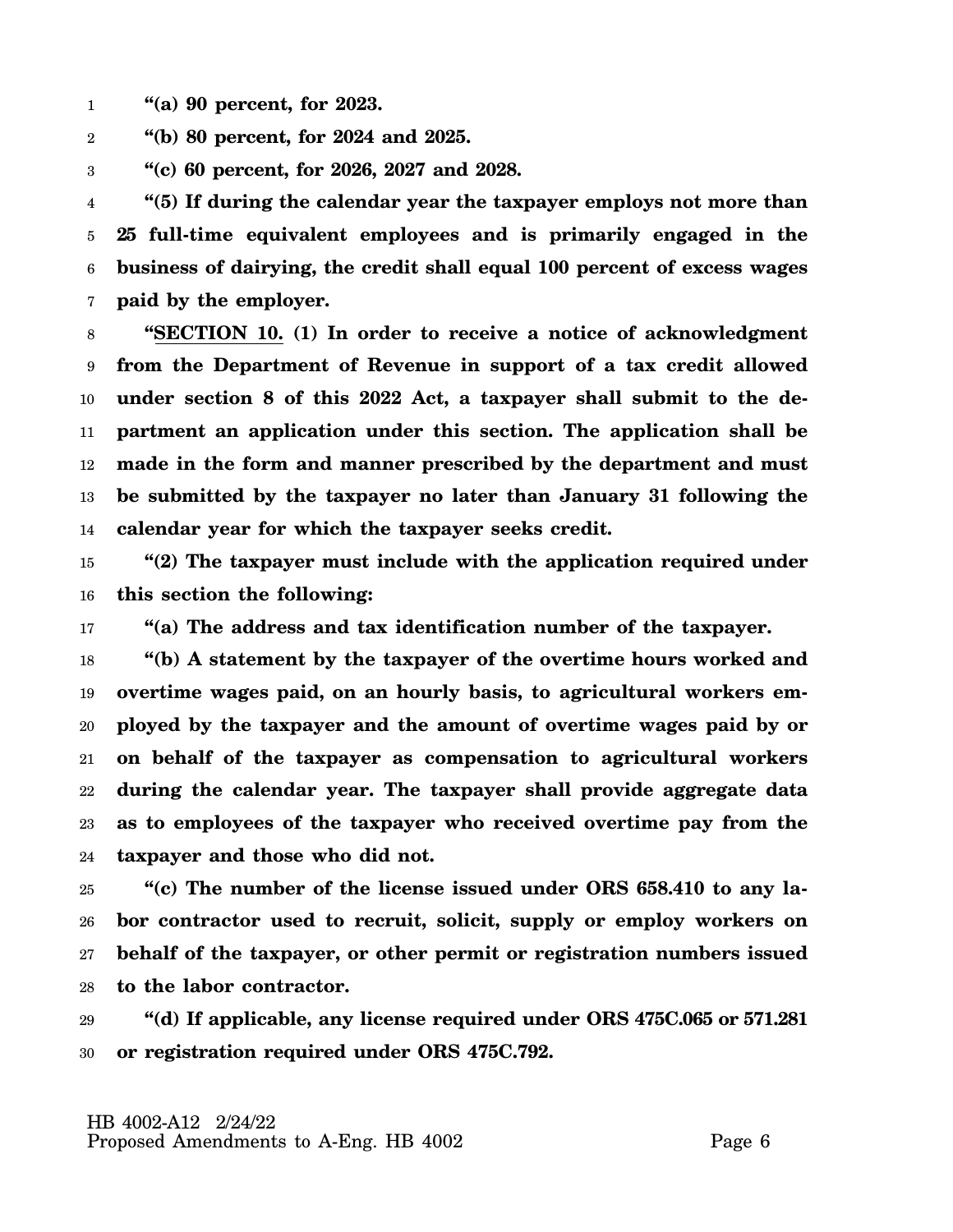- 1 **"(a) 90 percent, for 2023.**
- 2 **"(b) 80 percent, for 2024 and 2025.**
- 3 **"(c) 60 percent, for 2026, 2027 and 2028.**

4 5 6 7 **"(5) If during the calendar year the taxpayer employs not more than 25 full-time equivalent employees and is primarily engaged in the business of dairying, the credit shall equal 100 percent of excess wages paid by the employer.**

8 9 10 11 12 13 14 **"SECTION 10. (1) In order to receive a notice of acknowledgment from the Department of Revenue in support of a tax credit allowed under section 8 of this 2022 Act, a taxpayer shall submit to the department an application under this section. The application shall be made in the form and manner prescribed by the department and must be submitted by the taxpayer no later than January 31 following the calendar year for which the taxpayer seeks credit.**

15 16 **"(2) The taxpayer must include with the application required under this section the following:**

17 **"(a) The address and tax identification number of the taxpayer.**

18 19 20 21 22 23 24 **"(b) A statement by the taxpayer of the overtime hours worked and overtime wages paid, on an hourly basis, to agricultural workers employed by the taxpayer and the amount of overtime wages paid by or on behalf of the taxpayer as compensation to agricultural workers during the calendar year. The taxpayer shall provide aggregate data as to employees of the taxpayer who received overtime pay from the taxpayer and those who did not.**

25 26 27 28 **"(c) The number of the license issued under ORS 658.410 to any labor contractor used to recruit, solicit, supply or employ workers on behalf of the taxpayer, or other permit or registration numbers issued to the labor contractor.**

29 30 **"(d) If applicable, any license required under ORS 475C.065 or 571.281 or registration required under ORS 475C.792.**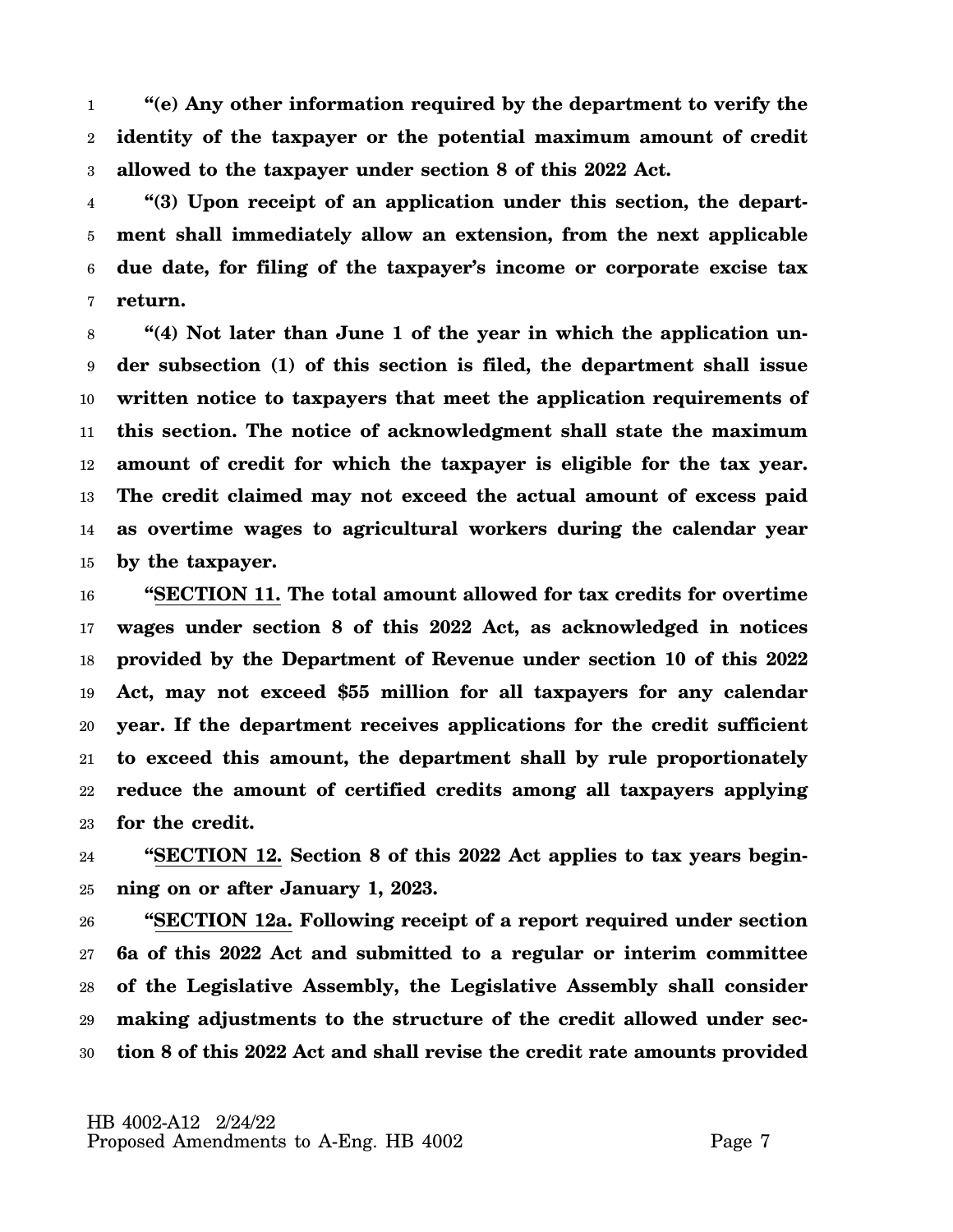1 2 3 **"(e) Any other information required by the department to verify the identity of the taxpayer or the potential maximum amount of credit allowed to the taxpayer under section 8 of this 2022 Act.**

4 5 6 7 **"(3) Upon receipt of an application under this section, the department shall immediately allow an extension, from the next applicable due date, for filing of the taxpayer's income or corporate excise tax return.**

8 9 10 11 12 13 14 15 **"(4) Not later than June 1 of the year in which the application under subsection (1) of this section is filed, the department shall issue written notice to taxpayers that meet the application requirements of this section. The notice of acknowledgment shall state the maximum amount of credit for which the taxpayer is eligible for the tax year. The credit claimed may not exceed the actual amount of excess paid as overtime wages to agricultural workers during the calendar year by the taxpayer.**

16 17 18 19 20 21 22 23 **"SECTION 11. The total amount allowed for tax credits for overtime wages under section 8 of this 2022 Act, as acknowledged in notices provided by the Department of Revenue under section 10 of this 2022 Act, may not exceed \$55 million for all taxpayers for any calendar year. If the department receives applications for the credit sufficient to exceed this amount, the department shall by rule proportionately reduce the amount of certified credits among all taxpayers applying for the credit.**

24 25 **"SECTION 12. Section 8 of this 2022 Act applies to tax years beginning on or after January 1, 2023.**

26 27 28 29 30 **"SECTION 12a. Following receipt of a report required under section 6a of this 2022 Act and submitted to a regular or interim committee of the Legislative Assembly, the Legislative Assembly shall consider making adjustments to the structure of the credit allowed under section 8 of this 2022 Act and shall revise the credit rate amounts provided**